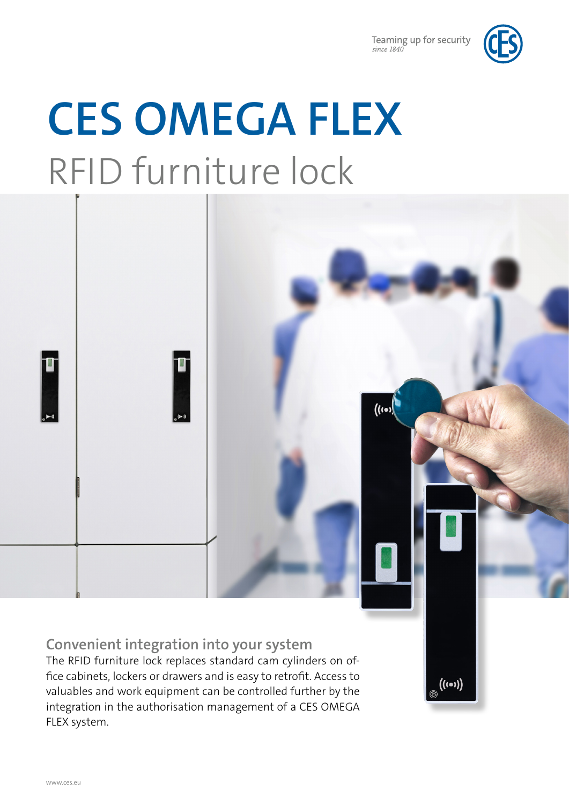$\overline{\textbf{(}}\textbf{(}}\bullet\textbf{)}\textbf{)}$ 

 $((\cdot))$ 



## RFID furniture lock **CES OMEGA FLEX**



The RFID furniture lock replaces standard cam cylinders on office cabinets, lockers or drawers and is easy to retrofit. Access to valuables and work equipment can be controlled further by the integration in the authorisation management of a CES OMEGA FLEX system.

I